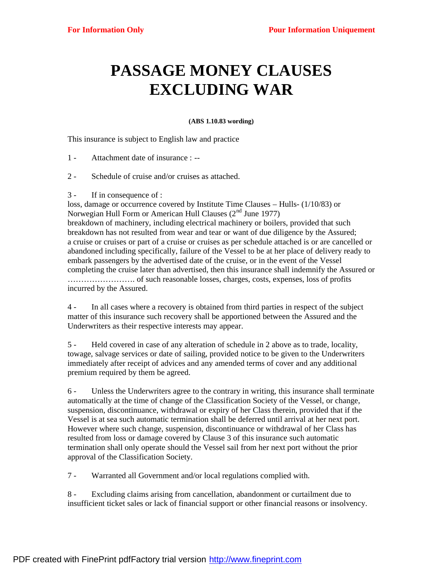## **PASSAGE MONEY CLAUSES EXCLUDING WAR**

## **(ABS 1.10.83 wording)**

This insurance is subject to English law and practice

1 - Attachment date of insurance : --

- 2 Schedule of cruise and/or cruises as attached.
- 3 If in consequence of :

loss, damage or occurrence covered by Institute Time Clauses – Hulls- (1/10/83) or Norwegian Hull Form or American Hull Clauses  $(2<sup>nd</sup>$  June 1977) breakdown of machinery, including electrical machinery or boilers, provided that such breakdown has not resulted from wear and tear or want of due diligence by the Assured; a cruise or cruises or part of a cruise or cruises as per schedule attached is or are cancelled or abandoned including specifically, failure of the Vessel to be at her place of delivery ready to embark passengers by the advertised date of the cruise, or in the event of the Vessel completing the cruise later than advertised, then this insurance shall indemnify the Assured or ……………………. of such reasonable losses, charges, costs, expenses, loss of profits incurred by the Assured.

4 - In all cases where a recovery is obtained from third parties in respect of the subject matter of this insurance such recovery shall be apportioned between the Assured and the Underwriters as their respective interests may appear.

5 - Held covered in case of any alteration of schedule in 2 above as to trade, locality, towage, salvage services or date of sailing, provided notice to be given to the Underwriters immediately after receipt of advices and any amended terms of cover and any additional premium required by them be agreed.

6 - Unless the Underwriters agree to the contrary in writing, this insurance shall terminate automatically at the time of change of the Classification Society of the Vessel, or change, suspension, discontinuance, withdrawal or expiry of her Class therein, provided that if the Vessel is at sea such automatic termination shall be deferred until arrival at her next port. However where such change, suspension, discontinuance or withdrawal of her Class has resulted from loss or damage covered by Clause 3 of this insurance such automatic termination shall only operate should the Vessel sail from her next port without the prior approval of the Classification Society.

7 - Warranted all Government and/or local regulations complied with.

8 - Excluding claims arising from cancellation, abandonment or curtailment due to insufficient ticket sales or lack of financial support or other financial reasons or insolvency.